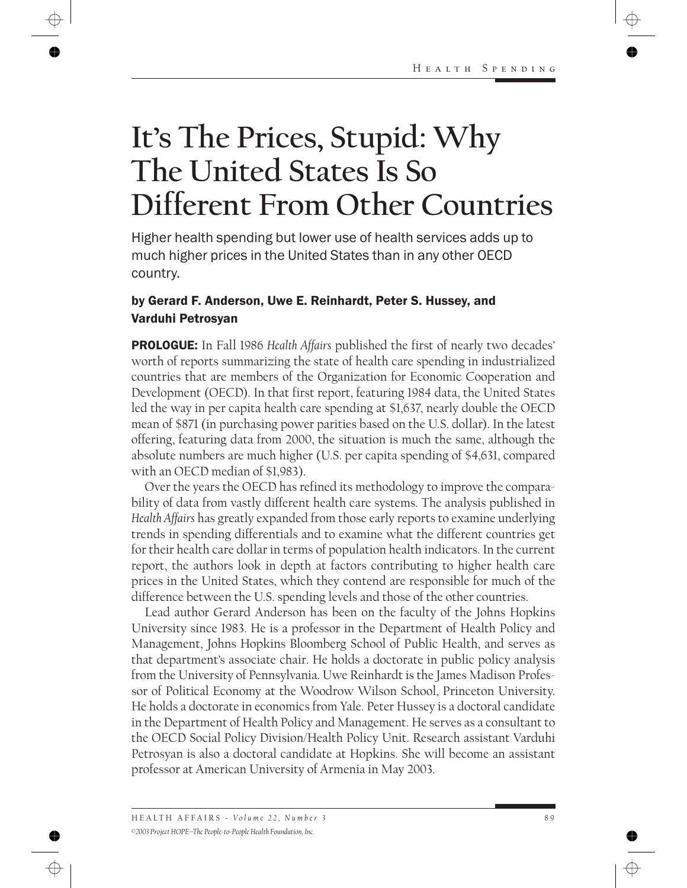# **It's The Prices, Stupid: Why The United States Is So Different From Other Countries**

Higher health spending but lower use of health services adds up to much higher prices in the United States than in any other OECD country.

# by Gerard F. Anderson, Uwe E. Reinhardt, Peter S. Hussey, and Varduhi Petrosyan

PROLOGUE: In Fall 1986 *Health Affairs* published the first of nearly two decades' worth of reports summarizing the state of health care spending in industrialized countries that are members of the Organization for Economic Cooperation and Development (OECD). In that first report, featuring 1984 data, the United States led the way in per capita health care spending at \$1,637, nearly double the OECD mean of \$871 (in purchasing power parities based on the U.S. dollar). In the latest offering, featuring data from 2000, the situation is much the same, although the absolute numbers are much higher (U.S. per capita spending of \$4,631, compared with an OECD median of \$1,983).

Over the years the OECD has refined its methodology to improve the comparability of data from vastly different health care systems. The analysis published in *Health Affairs* has greatly expanded from those early reports to examine underlying trends in spending differentials and to examine what the different countries get for their health care dollar in terms of population health indicators. In the current report, the authors look in depth at factors contributing to higher health care prices in the United States, which they contend are responsible for much of the difference between the U.S. spending levels and those of the other countries.

Lead author Gerard Anderson has been on the faculty of the Johns Hopkins University since 1983. He is a professor in the Department of Health Policy and Management, Johns Hopkins Bloomberg School of Public Health, and serves as that department's associate chair. He holds a doctorate in public policy analysis from the University of Pennsylvania. Uwe Reinhardt is the James Madison Professor of Political Economy at the Woodrow Wilson School, Princeton University. He holds a doctorate in economics from Yale. Peter Hussey is a doctoral candidate in the Department of Health Policy and Management. He serves as a consultant to the OECD Social Policy Division/Health Policy Unit. Research assistant Varduhi Petrosyan is also a doctoral candidate at Hopkins. She will become an assistant professor at American University of Armenia in May 2003.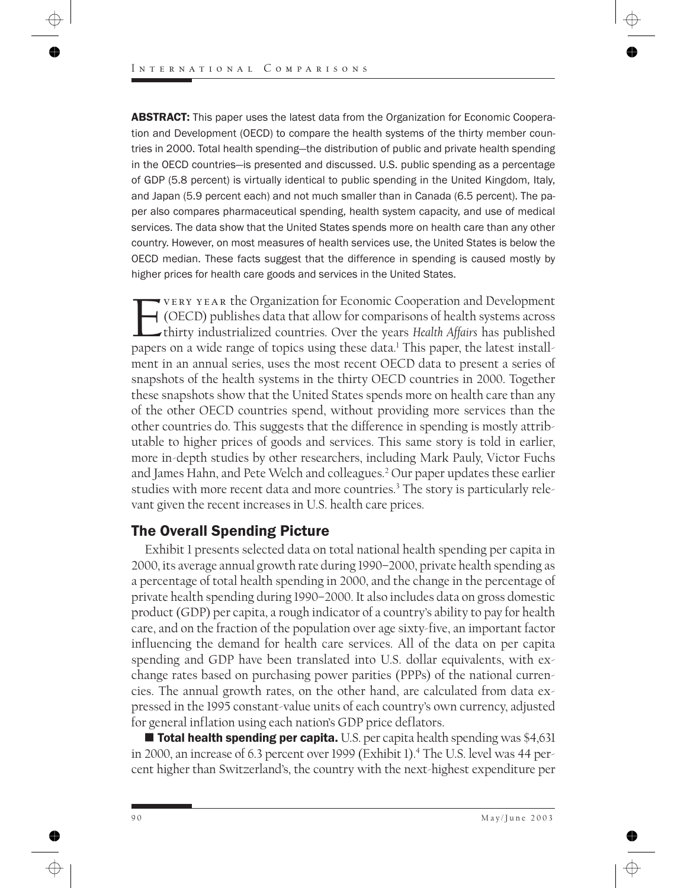ABSTRACT: This paper uses the latest data from the Organization for Economic Cooperation and Development (OECD) to compare the health systems of the thirty member countries in 2000. Total health spending—the distribution of public and private health spending in the OECD countries—is presented and discussed. U.S. public spending as a percentage of GDP (5.8 percent) is virtually identical to public spending in the United Kingdom, Italy, and Japan (5.9 percent each) and not much smaller than in Canada (6.5 percent). The paper also compares pharmaceutical spending, health system capacity, and use of medical services. The data show that the United States spends more on health care than any other country. However, on most measures of health services use, the United States is below the OECD median. These facts suggest that the difference in spending is caused mostly by higher prices for health care goods and services in the United States.

VERY YEAR the Organization for Economic Cooperation and Development<br>
(OECD) publishes data that allow for comparisons of health systems across<br>
thirty industrialized countries. Over the years Health Affairs has published<br> (OECD) publishes data that allow for comparisons of health systems across thirty industrialized countries. Over the years *Health Affairs* has published papers on a wide range of topics using these data.<sup>1</sup> This paper, the latest installment in an annual series, uses the most recent OECD data to present a series of snapshots of the health systems in the thirty OECD countries in 2000. Together these snapshots show that the United States spends more on health care than any of the other OECD countries spend, without providing more services than the other countries do. This suggests that the difference in spending is mostly attributable to higher prices of goods and services. This same story is told in earlier, more in-depth studies by other researchers, including Mark Pauly, Victor Fuchs and James Hahn, and Pete Welch and colleagues.2 Our paper updates these earlier studies with more recent data and more countries.<sup>3</sup> The story is particularly relevant given the recent increases in U.S. health care prices.

# The Overall Spending Picture

Exhibit 1 presents selected data on total national health spending per capita in 2000, its average annual growth rate during 1990–2000, private health spending as a percentage of total health spending in 2000, and the change in the percentage of private health spending during 1990–2000. It also includes data on gross domestic product (GDP) per capita, a rough indicator of a country's ability to pay for health care, and on the fraction of the population over age sixty-five, an important factor influencing the demand for health care services. All of the data on per capita spending and GDP have been translated into U.S. dollar equivalents, with exchange rates based on purchasing power parities (PPPs) of the national currencies. The annual growth rates, on the other hand, are calculated from data expressed in the 1995 constant-value units of each country's own currency, adjusted for general inflation using each nation's GDP price deflators.

**Total health spending per capita.** U.S. per capita health spending was  $$4,631$ in 2000, an increase of 6.3 percent over 1999 (Exhibit 1).<sup>4</sup> The U.S. level was 44 percent higher than Switzerland's, the country with the next-highest expenditure per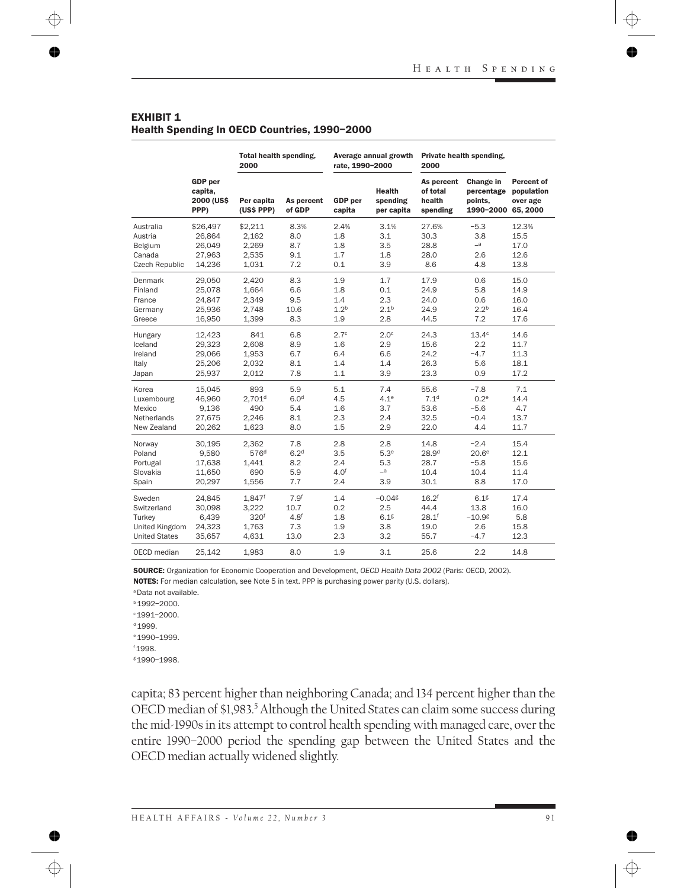#### **EXHIBIT 1** Health Spending In OECD Countries, 1990–2000

|                       |                                                 | 2000                     | <b>Total health spending,</b> |                          | Average annual growth<br>rate, 1990-2000 |                                              | Private health spending,<br>2000                         |                                      |
|-----------------------|-------------------------------------------------|--------------------------|-------------------------------|--------------------------|------------------------------------------|----------------------------------------------|----------------------------------------------------------|--------------------------------------|
|                       | <b>GDP</b> per<br>capita,<br>2000 (US\$<br>PPP) | Per capita<br>(US\$ PPP) | As percent<br>of GDP          | <b>GDP</b> per<br>capita | <b>Health</b><br>spending<br>per capita  | As percent<br>of total<br>health<br>spending | Change in<br>percentage<br>points,<br>1990-2000 65, 2000 | Percent of<br>population<br>over age |
| Australia             | \$26,497                                        | \$2,211                  | 8.3%                          | 2.4%                     | 3.1%                                     | 27.6%                                        | $-5.3$                                                   | 12.3%                                |
| Austria               | 26,864                                          | 2,162                    | 8.0                           | 1.8                      | 3.1                                      | 30.3                                         | 3.8                                                      | 15.5                                 |
| Belgium               | 26,049                                          | 2,269                    | 8.7                           | 1.8                      | 3.5                                      | 28.8                                         | $-a$                                                     | 17.0                                 |
| Canada                | 27,963                                          | 2,535                    | 9.1                           | 1.7                      | 1.8                                      | 28.0                                         | 2.6                                                      | 12.6                                 |
| <b>Czech Republic</b> | 14,236                                          | 1,031                    | 7.2                           | 0.1                      | 3.9                                      | 8.6                                          | 4.8                                                      | 13.8                                 |
| Denmark               | 29,050                                          | 2,420                    | 8.3                           | 1.9                      | 1.7                                      | 17.9                                         | 0.6                                                      | 15.0                                 |
| Finland               | 25,078                                          | 1,664                    | 6.6                           | 1.8                      | 0.1                                      | 24.9                                         | 5.8                                                      | 14.9                                 |
| France                | 24,847                                          | 2,349                    | 9.5                           | 1.4                      | 2.3                                      | 24.0                                         | 0.6                                                      | 16.0                                 |
| Germany               | 25,936                                          | 2,748                    | 10.6                          | 1.2 <sup>b</sup>         | 2.1 <sup>b</sup>                         | 24.9                                         | 2.2 <sup>b</sup>                                         | 16.4                                 |
| Greece                | 16,950                                          | 1,399                    | 8.3                           | 1.9                      | 2.8                                      | 44.5                                         | 7.2                                                      | 17.6                                 |
| Hungary               | 12,423                                          | 841                      | 6.8                           | 2.7 <sup>c</sup>         | 2.0 <sup>c</sup>                         | 24.3                                         | 13.4 <sup>c</sup>                                        | 14.6                                 |
| Iceland               | 29,323                                          | 2,608                    | 8.9                           | 1.6                      | 2.9                                      | 15.6                                         | 2.2                                                      | 11.7                                 |
| Ireland               | 29,066                                          | 1,953                    | 6.7                           | 6.4                      | 6.6                                      | 24.2                                         | $-4.7$                                                   | 11.3                                 |
| Italy                 | 25,206                                          | 2,032                    | 8.1                           | 1.4                      | 1.4                                      | 26.3                                         | 5.6                                                      | 18.1                                 |
| Japan                 | 25,937                                          | 2,012                    | 7.8                           | 1.1                      | 3.9                                      | 23.3                                         | 0.9                                                      | 17.2                                 |
| Korea                 | 15,045                                          | 893                      | 5.9                           | 5.1                      | 7.4                                      | 55.6                                         | $-7.8$                                                   | 7.1                                  |
| Luxembourg            | 46,960                                          | 2,701 <sup>d</sup>       | 6.0 <sup>d</sup>              | 4.5                      | 4.1 <sup>e</sup>                         | 7.1 <sup>d</sup>                             | 0.2 <sup>e</sup>                                         | 14.4                                 |
| Mexico                | 9,136                                           | 490                      | 5.4                           | 1.6                      | 3.7                                      | 53.6                                         | $-5.6$                                                   | 4.7                                  |
| <b>Netherlands</b>    | 27,675                                          | 2,246                    | 8.1                           | 2.3                      | 2.4                                      | 32.5                                         | $-0.4$                                                   | 13.7                                 |
| New Zealand           | 20,262                                          | 1,623                    | 8.0                           | 1.5                      | 2.9                                      | 22.0                                         | 4.4                                                      | 11.7                                 |
| Norway                | 30,195                                          | 2,362                    | 7.8                           | 2.8                      | 2.8                                      | 14.8                                         | $-2.4$                                                   | 15.4                                 |
| Poland                | 9,580                                           | 576 <sup>d</sup>         | 6.2 <sup>d</sup>              | 3.5                      | 5.3 <sup>e</sup>                         | 28.9 <sup>d</sup>                            | 20.6 <sup>e</sup>                                        | 12.1                                 |
| Portugal              | 17,638                                          | 1,441                    | 8.2                           | 2.4                      | 5.3                                      | 28.7                                         | $-5.8$                                                   | 15.6                                 |
| Slovakia              | 11,650                                          | 690                      | 5.9                           | 4.0 <sup>†</sup>         | $-a$                                     | 10.4                                         | 10.4                                                     | 11.4                                 |
| Spain                 | 20,297                                          | 1,556                    | 7.7                           | 2.4                      | 3.9                                      | 30.1                                         | 8.8                                                      | 17.0                                 |
| Sweden                | 24,845                                          | $1,847$ <sup>f</sup>     | 7.9 <sup>f</sup>              | 1.4                      | $-0.048$                                 | 16.2 <sup>f</sup>                            | 6.1 <sup>g</sup>                                         | 17.4                                 |
| Switzerland           | 30,098                                          | 3,222                    | 10.7                          | 0.2                      | 2.5                                      | 44.4                                         | 13.8                                                     | 16.0                                 |
| Turkey                | 6,439                                           | 320f                     | 4.8 <sup>f</sup>              | 1.8                      | 6.1 <sup>g</sup>                         | 28.1 <sup>f</sup>                            | $-10.98$                                                 | 5.8                                  |
| United Kingdom        | 24,323                                          | 1,763                    | 7.3                           | 1.9                      | 3.8                                      | 19.0                                         | 2.6                                                      | 15.8                                 |
| <b>United States</b>  | 35,657                                          | 4,631                    | 13.0                          | 2.3                      | 3.2                                      | 55.7                                         | $-4.7$                                                   | 12.3                                 |
| OECD median           | 25,142                                          | 1,983                    | 8.0                           | 1.9                      | 3.1                                      | 25.6                                         | 2.2                                                      | 14.8                                 |

SOURCE: Organization for Economic Cooperation and Development, *OECD Health Data 2002* (Paris: OECD, 2002). NOTES: For median calculation, see Note 5 in text. PPP is purchasing power parity (U.S. dollars).

<sup>a</sup> Data not available.

 $b$  1992–2000.

- $0.1991 2000$ .
- $d$ 1999.

 $^{\circ}$ 1990–1999.

f 1998.

g1990–1998.

capita; 83 percent higher than neighboring Canada; and 134 percent higher than the OECD median of \$1,983.<sup>5</sup> Although the United States can claim some success during the mid-1990s in its attempt to control health spending with managed care, over the entire 1990–2000 period the spending gap between the United States and the OECD median actually widened slightly.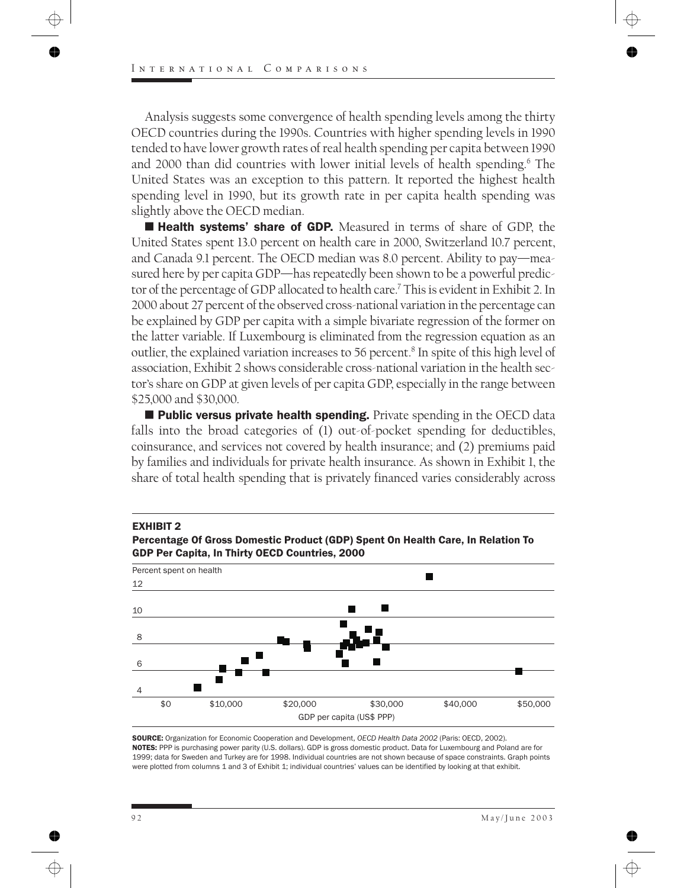Analysis suggests some convergence of health spending levels among the thirty OECD countries during the 1990s. Countries with higher spending levels in 1990 tended to have lower growth rates of real health spending per capita between 1990 and 2000 than did countries with lower initial levels of health spending.<sup>6</sup> The United States was an exception to this pattern. It reported the highest health spending level in 1990, but its growth rate in per capita health spending was slightly above the OECD median.

■ Health systems' share of GDP. Measured in terms of share of GDP, the United States spent 13.0 percent on health care in 2000, Switzerland 10.7 percent, and Canada 9.1 percent. The OECD median was 8.0 percent. Ability to pay—measured here by per capita GDP—has repeatedly been shown to be a powerful predictor of the percentage of GDP allocated to health care.7 This is evident in Exhibit 2. In 2000 about 27 percent of the observed cross-national variation in the percentage can be explained by GDP per capita with a simple bivariate regression of the former on the latter variable. If Luxembourg is eliminated from the regression equation as an outlier, the explained variation increases to 56 percent.<sup>8</sup> In spite of this high level of association, Exhibit 2 shows considerable cross-national variation in the health sector's share on GDP at given levels of per capita GDP, especially in the range between \$25,000 and \$30,000.

**Public versus private health spending.** Private spending in the OECD data falls into the broad categories of (1) out-of-pocket spending for deductibles, coinsurance, and services not covered by health insurance; and (2) premiums paid by families and individuals for private health insurance. As shown in Exhibit 1, the share of total health spending that is privately financed varies considerably across



SOURCE: Organization for Economic Cooperation and Development, *OECD Health Data 2002* (Paris: OECD, 2002). NOTES: PPP is purchasing power parity (U.S. dollars). GDP is gross domestic product. Data for Luxembourg and Poland are for 1999; data for Sweden and Turkey are for 1998. Individual countries are not shown because of space constraints. Graph points were plotted from columns 1 and 3 of Exhibit 1; individual countries' values can be identified by looking at that exhibit.

EXHIBIT 2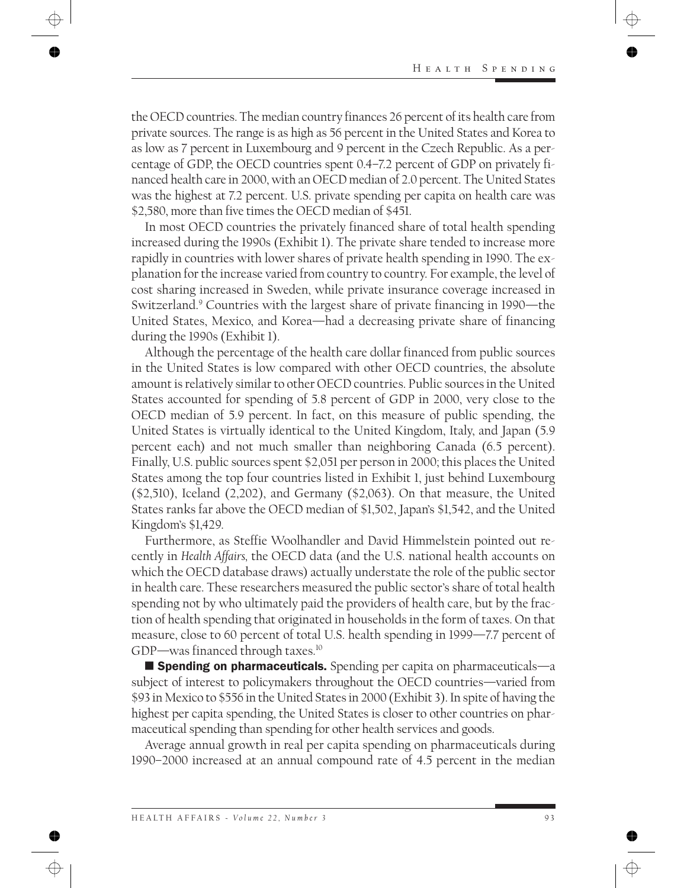the OECD countries. The median country finances 26 percent of its health care from private sources. The range is as high as 56 percent in the United States and Korea to as low as 7 percent in Luxembourg and 9 percent in the Czech Republic. As a percentage of GDP, the OECD countries spent 0.4–7.2 percent of GDP on privately financed health care in 2000, with an OECD median of 2.0 percent. The United States was the highest at 7.2 percent. U.S. private spending per capita on health care was \$2,580, more than five times the OECD median of \$451.

In most OECD countries the privately financed share of total health spending increased during the 1990s (Exhibit 1). The private share tended to increase more rapidly in countries with lower shares of private health spending in 1990. The explanation for the increase varied from country to country. For example, the level of cost sharing increased in Sweden, while private insurance coverage increased in Switzerland.9 Countries with the largest share of private financing in 1990—the United States, Mexico, and Korea—had a decreasing private share of financing during the 1990s (Exhibit 1).

Although the percentage of the health care dollar financed from public sources in the United States is low compared with other OECD countries, the absolute amount is relatively similar to other OECD countries. Public sources in the United States accounted for spending of 5.8 percent of GDP in 2000, very close to the OECD median of 5.9 percent. In fact, on this measure of public spending, the United States is virtually identical to the United Kingdom, Italy, and Japan (5.9 percent each) and not much smaller than neighboring Canada (6.5 percent). Finally, U.S. public sources spent \$2,051 per person in 2000; this places the United States among the top four countries listed in Exhibit 1, just behind Luxembourg (\$2,510), Iceland (2,202), and Germany (\$2,063). On that measure, the United States ranks far above the OECD median of \$1,502, Japan's \$1,542, and the United Kingdom's \$1,429.

Furthermore, as Steffie Woolhandler and David Himmelstein pointed out recently in *Health Affairs,* the OECD data (and the U.S. national health accounts on which the OECD database draws) actually understate the role of the public sector in health care. These researchers measured the public sector's share of total health spending not by who ultimately paid the providers of health care, but by the fraction of health spending that originated in households in the form of taxes. On that measure, close to 60 percent of total U.S. health spending in 1999—7.7 percent of GDP—was financed through taxes.10

■ Spending on pharmaceuticals. Spending per capita on pharmaceuticals—a subject of interest to policymakers throughout the OECD countries—varied from \$93 in Mexico to \$556 in the United States in 2000 (Exhibit 3). In spite of having the highest per capita spending, the United States is closer to other countries on pharmaceutical spending than spending for other health services and goods.

Average annual growth in real per capita spending on pharmaceuticals during 1990–2000 increased at an annual compound rate of 4.5 percent in the median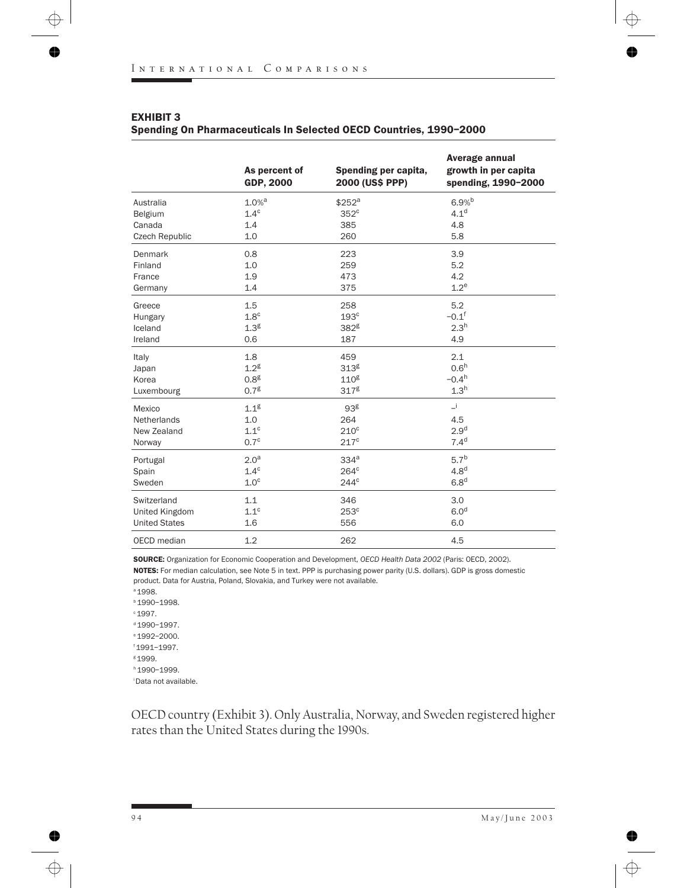| As percent of<br>GDP, 2000 | Spending per capita,<br>2000 (US\$ PPP) | Average annual<br>growth in per capita<br>spending, 1990-2000 |
|----------------------------|-----------------------------------------|---------------------------------------------------------------|
| $1.0%$ <sup>a</sup>        | \$252 <sup>a</sup>                      | $6.9%^{b}$                                                    |
|                            |                                         | 4.1 <sup>d</sup>                                              |
| 1.4                        | 385                                     | 4.8                                                           |
|                            |                                         | 5.8                                                           |
| 0.8                        | 223                                     | 3.9                                                           |
| 1.0                        | 259                                     | 5.2                                                           |
| 1.9                        | 473                                     | 4.2                                                           |
| 1.4                        | 375                                     | 1.2 <sup>e</sup>                                              |
| 1.5                        | 258                                     | 5.2                                                           |
| 1.8 <sup>c</sup>           | 193 <sup>c</sup>                        | $-0.1^f$                                                      |
| 1.3 <sup>g</sup>           | 382 <sup>g</sup>                        | 2.3 <sup>h</sup>                                              |
| 0.6                        | 187                                     | 4.9                                                           |
| 1.8                        | 459                                     | 2.1                                                           |
| $1.2^{g}$                  | 313 <sup>g</sup>                        | 0.6 <sup>h</sup>                                              |
| 0.8 <sup>g</sup>           | 110 <sup>g</sup>                        | $-0.4h$                                                       |
| 0.7 <sup>g</sup>           | 317g                                    | 1.3 <sup>h</sup>                                              |
| 1.1 <sup>g</sup>           | 93 <sup>g</sup>                         | $\Box$                                                        |
| 1.0                        | 264                                     | 4.5                                                           |
| 1.1 <sup>c</sup>           | 210 <sup>c</sup>                        | 2.9 <sup>d</sup>                                              |
| 0.7 <sup>c</sup>           | 217 <sup>c</sup>                        | 7.4 <sup>d</sup>                                              |
| 2.0 <sup>a</sup>           | 334 <sup>a</sup>                        | 5.7 <sup>b</sup>                                              |
| $1.4^\circ$                | 264 <sup>c</sup>                        | 4.8 <sup>d</sup>                                              |
| 1.0 <sup>c</sup>           | 244 <sup>c</sup>                        | 6.8 <sup>d</sup>                                              |
| 1.1                        | 346                                     | 3.0                                                           |
| 1.1 <sup>c</sup>           | 253 <sup>c</sup>                        | 6.0 <sup>d</sup>                                              |
| 1.6                        | 556                                     | 6.0                                                           |
| 1.2                        | 262                                     | 4.5                                                           |
|                            | $1.4^\circ$<br>1.0                      | 352 <sup>c</sup><br>260                                       |

## EXHIBIT 3 Spending On Pharmaceuticals In Selected OECD Countries, 1990–2000

SOURCE: Organization for Economic Cooperation and Development, *OECD Health Data 2002* (Paris: OECD, 2002).

NOTES: For median calculation, see Note 5 in text. PPP is purchasing power parity (U.S. dollars). GDP is gross domestic product. Data for Austria, Poland, Slovakia, and Turkey were not available.

<sup>a</sup> 1998.

 $b$ 1990–1998.

 $\degree$ 1997.

 $d$ 1990-1997.

e1992–2000.

f 1991–1997.

<sup>g</sup>1999.

 $h$ 1990–1999.

i Data not available.

OECD country (Exhibit 3). Only Australia, Norway, and Sweden registered higher rates than the United States during the 1990s.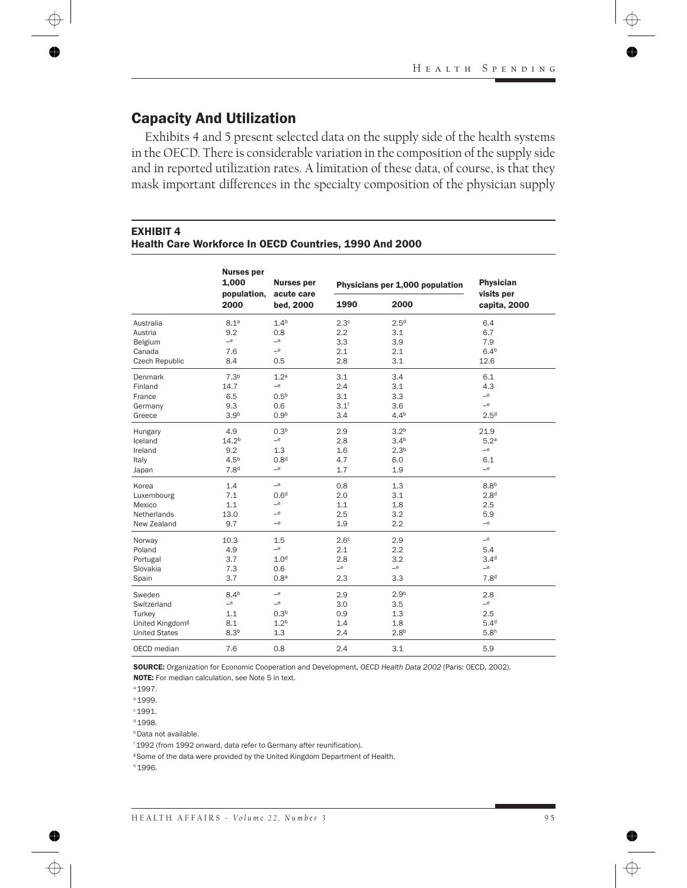## **Capacity And Utilization**

Exhibits 4 and 5 present selected data on the supply side of the health systems in the OECD. There is considerable variation in the composition of the supply side and in reported utilization rates. A limitation of these data, of course, is that they mask important differences in the specialty composition of the physician supply

|                             | <b>Nurses per</b><br>1,000 | <b>Nurses per</b><br>acute care | Physicians per 1,000 population | <b>Physician</b> |                            |  |
|-----------------------------|----------------------------|---------------------------------|---------------------------------|------------------|----------------------------|--|
|                             | population,<br>2000        | bed, 2000                       | 1990                            | 2000             | visits per<br>capita, 2000 |  |
| Australia                   | 8.1 <sup>a</sup>           | 1.4 <sup>b</sup>                | 2.3 <sup>c</sup>                | 2.5 <sup>d</sup> | 6.4                        |  |
| Austria                     | 9.2                        | 0.8                             | 2.2                             | 3.1              | 6.7                        |  |
| Belgium                     | $-e$                       | $-e$                            | 3.3                             | 3.9              | 7.9                        |  |
| Canada                      | 7.6                        | $-e$                            | 2.1                             | 2.1              | 6.4 <sup>b</sup>           |  |
| Czech Republic              | 8.4                        | 0.5                             | 2.8                             | 3.1              | 12.6                       |  |
| Denmark                     | 7.3 <sup>b</sup>           | 1.2 <sup>a</sup>                | 3.1                             | 3.4              | 6.1                        |  |
| Finland                     | 14.7                       | $-e$                            | 2.4                             | 3.1              | 4.3                        |  |
| France                      | 6.5                        | 0.5 <sup>b</sup>                | 3.1                             | 3.3              | $-e$                       |  |
| Germany                     | 9.3                        | 0.6                             | 3.1 <sup>f</sup>                | 3.6              | $-e$                       |  |
| Greece                      | 3.9 <sup>b</sup>           | 0.9 <sup>b</sup>                | 3.4                             | 4.4 <sup>b</sup> | 2.5 <sup>d</sup>           |  |
| Hungary                     | 4.9                        | 0.3 <sup>b</sup>                | 2.9                             | 3.2 <sup>b</sup> | 21.9                       |  |
| Iceland                     | 14.2 <sup>b</sup>          | $-e$                            | 2.8                             | 3.4 <sup>b</sup> | 5.2 <sup>a</sup>           |  |
| Ireland                     | 9.2                        | 1.3                             | 1.6                             | 2.3 <sup>b</sup> | $-e$                       |  |
| Italy                       | 4.5 <sup>b</sup>           | 0.8 <sup>d</sup>                | 4.7                             | 6.0              | 6.1                        |  |
| Japan                       | 7.8 <sup>d</sup>           | $-e$                            | 1.7                             | 1.9              | $-e$                       |  |
| Korea                       | 1.4                        | $-e$                            | 0.8                             | 1.3              | 8.8 <sup>b</sup>           |  |
| Luxembourg                  | 7.1                        | 0.6 <sup>d</sup>                | 2.0                             | 3.1              | 2.8 <sup>d</sup>           |  |
| Mexico                      | 1.1                        | $-e$                            | 1.1                             | 1.8              | 2.5                        |  |
| <b>Netherlands</b>          | 13.0                       | $-e$                            | 2.5                             | 3.2              | 5.9                        |  |
| New Zealand                 | 9.7                        | $-e$                            | 1.9                             | 2.2              | $-e$                       |  |
| Norway                      | 10.3                       | 1.5                             | 2.6 <sup>c</sup>                | 2.9              | $-e$                       |  |
| Poland                      | 4.9                        | $-e$                            | 2.1                             | 2.2              | 5.4                        |  |
| Portugal                    | 3.7                        | 1.0 <sup>d</sup>                | 2.8                             | 3.2              | 3.4 <sup>d</sup>           |  |
| Slovakia                    | 7.3                        | 0.6                             | $-e$                            | $-e$             | $-e$                       |  |
| Spain                       | 3.7                        | 0.8 <sup>a</sup>                | 2.3                             | 3.3              | 7.8 <sup>d</sup>           |  |
| Sweden                      | $8.4^{b}$                  | $-e$                            | 2.9                             | 2.9 <sup>b</sup> | 2.8                        |  |
| Switzerland                 | $-e$                       | $-e$                            | 3.0                             | 3.5              | $-e$                       |  |
| Turkey                      | 1.1                        | 0.3 <sup>b</sup>                | 0.9                             | 1.3              | 2.5                        |  |
| United Kingdom <sup>g</sup> | 8.1                        | 1.2 <sup>b</sup>                | 1.4                             | 1.8              | 5.4 <sup>d</sup>           |  |
| <b>United States</b>        | 8.3 <sup>b</sup>           | 1.3                             | 2.4                             | 2.8 <sup>b</sup> | 5.8 <sup>h</sup>           |  |
| OECD median                 | 7.6                        | 0.8                             | 2.4                             | 3.1              | 5.9                        |  |

#### **EXHIBIT 4** Health Care Workforce In OECD Countries, 1990 And 2000

SOURCE: Organization for Economic Cooperation and Development, OECD Health Data 2002 (Paris: OECD, 2002). NOTE: For median calculation, see Note 5 in text.

<sup>a</sup> 1997.

 $b$  1999.

 $°1991.$ 

 $d$  1998.

<sup>e</sup> Data not available.

<sup>f</sup> 1992 (from 1992 onward, data refer to Germany after reunification).

<sup>g</sup> Some of the data were provided by the United Kingdom Department of Health.

<sup>h</sup> 1996.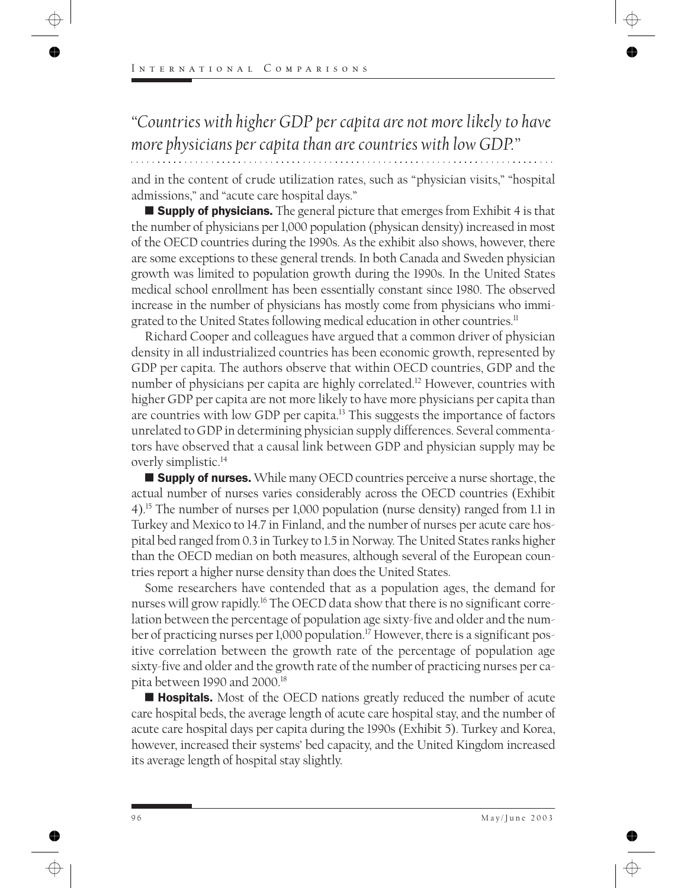*"Countries with higher GDP per capita are not more likely to have more physicians per capita than are countries with low GDP."*

and in the content of crude utilization rates, such as "physician visits," "hospital admissions," and "acute care hospital days."

**Supply of physicians.** The general picture that emerges from Exhibit 4 is that the number of physicians per 1,000 population (physican density) increased in most of the OECD countries during the 1990s. As the exhibit also shows, however, there are some exceptions to these general trends. In both Canada and Sweden physician growth was limited to population growth during the 1990s. In the United States medical school enrollment has been essentially constant since 1980. The observed increase in the number of physicians has mostly come from physicians who immigrated to the United States following medical education in other countries.<sup>11</sup>

Richard Cooper and colleagues have argued that a common driver of physician density in all industrialized countries has been economic growth, represented by GDP per capita. The authors observe that within OECD countries, GDP and the number of physicians per capita are highly correlated.12 However, countries with higher GDP per capita are not more likely to have more physicians per capita than are countries with low GDP per capita.13 This suggests the importance of factors unrelated to GDP in determining physician supply differences. Several commentators have observed that a causal link between GDP and physician supply may be overly simplistic.14

**Supply of nurses.** While many OECD countries perceive a nurse shortage, the actual number of nurses varies considerably across the OECD countries (Exhibit 4).15 The number of nurses per 1,000 population (nurse density) ranged from 1.1 in Turkey and Mexico to 14.7 in Finland, and the number of nurses per acute care hospital bed ranged from 0.3 in Turkey to 1.5 in Norway. The United States ranks higher than the OECD median on both measures, although several of the European countries report a higher nurse density than does the United States.

Some researchers have contended that as a population ages, the demand for nurses will grow rapidly.<sup>16</sup> The OECD data show that there is no significant correlation between the percentage of population age sixty-five and older and the number of practicing nurses per 1,000 population.<sup>17</sup> However, there is a significant positive correlation between the growth rate of the percentage of population age sixty-five and older and the growth rate of the number of practicing nurses per capita between 1990 and 2000.18

**Hospitals.** Most of the OECD nations greatly reduced the number of acute care hospital beds, the average length of acute care hospital stay, and the number of acute care hospital days per capita during the 1990s (Exhibit 5). Turkey and Korea, however, increased their systems' bed capacity, and the United Kingdom increased its average length of hospital stay slightly.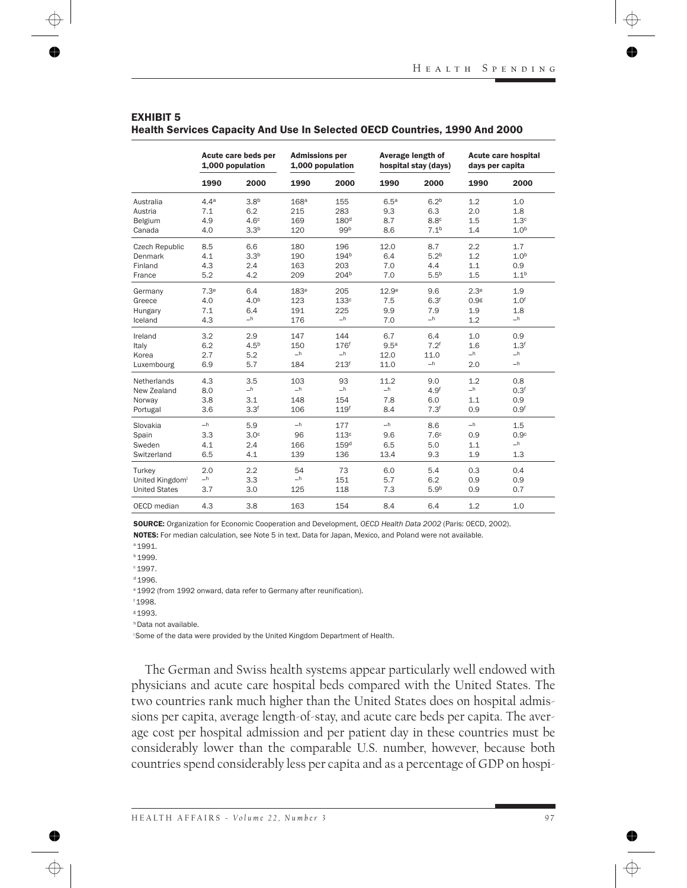### **EXHIBIT 5** Health Services Capacity And Use In Selected OECD Countries, 1990 And 2000

|                             | Acute care beds per<br>1,000 population |                  | <b>Admissions per</b> | 1,000 population | Average length of<br>hospital stay (days) |                  |                  | <b>Acute care hospital</b><br>days per capita |  |
|-----------------------------|-----------------------------------------|------------------|-----------------------|------------------|-------------------------------------------|------------------|------------------|-----------------------------------------------|--|
|                             | 1990                                    | 2000             | 1990                  | 2000             | 1990                                      | 2000             | 1990             | 2000                                          |  |
| Australia                   | 4.4 <sup>a</sup>                        | 3.8 <sup>b</sup> | 168 <sup>a</sup>      | 155              | 6.5 <sup>a</sup>                          | 6.2 <sup>b</sup> | 1.2              | 1.0                                           |  |
| Austria                     | 7.1                                     | 6.2              | 215                   | 283              | 9.3                                       | 6.3              | 2.0              | 1.8                                           |  |
| Belgium                     | 4.9                                     | 4.6 <sup>c</sup> | 169                   | 180 <sup>d</sup> | 8.7                                       | 8.8 <sup>c</sup> | 1.5              | 1.3 <sup>c</sup>                              |  |
| Canada                      | 4.0                                     | 3.3 <sup>b</sup> | 120                   | 99b              | 8.6                                       | 7.1 <sup>b</sup> | 1.4              | 1.0 <sup>b</sup>                              |  |
| <b>Czech Republic</b>       | 8.5                                     | 6.6              | 180                   | 196              | 12.0                                      | 8.7              | 2.2              | 1.7                                           |  |
| Denmark                     | 4.1                                     | 3.3 <sup>b</sup> | 190                   | 194 <sup>b</sup> | 6.4                                       | 5.2 <sup>b</sup> | 1.2              | 1.0 <sup>b</sup>                              |  |
| Finland                     | 4.3                                     | 2.4              | 163                   | 203              | 7.0                                       | 4.4              | 1.1              | 0.9                                           |  |
| France                      | 5.2                                     | 4.2              | 209                   | 204 <sup>b</sup> | 7.0                                       | 5.5 <sup>b</sup> | 1.5              | 1.1 <sup>b</sup>                              |  |
| Germany                     | 7.3 <sup>e</sup>                        | 6.4              | 183 <sup>e</sup>      | 205              | 12.9 <sup>e</sup>                         | 9.6              | 2.3 <sup>e</sup> | 1.9                                           |  |
| Greece                      | 4.0                                     | 4.0 <sup>b</sup> | 123                   | 133 <sup>c</sup> | 7.5                                       | 6.3 <sup>f</sup> | 0.9 <sup>g</sup> | 1.0 <sup>f</sup>                              |  |
| Hungary                     | 7.1                                     | 6.4              | 191                   | 225              | 9.9                                       | 7.9              | 1.9              | 1.8                                           |  |
| Iceland                     | 4.3                                     | $-h$             | 176                   | $-h$             | 7.0                                       | $-h$             | 1.2              | $-h$                                          |  |
| Ireland                     | 3.2                                     | 2.9              | 147                   | 144              | 6.7                                       | 6.4              | 1.0              | 0.9                                           |  |
| Italy                       | 6.2                                     | 4.5 <sup>b</sup> | 150                   | 176 <sup>f</sup> | 9.5 <sup>a</sup>                          | 7.2 <sup>f</sup> | 1.6              | 1.3 <sup>f</sup>                              |  |
| Korea                       | 2.7                                     | 5.2              | $-h$                  | $-h$             | 12.0                                      | 11.0             | $-h$             | $-h$                                          |  |
| Luxembourg                  | 6.9                                     | 5.7              | 184                   | 213 <sup>f</sup> | 11.0                                      | $\_h$            | 2.0              | $-h$                                          |  |
| <b>Netherlands</b>          | 4.3                                     | 3.5              | 103                   | 93               | 11.2                                      | 9.0              | 1.2              | 0.8                                           |  |
| New Zealand                 | 8.0                                     | $-h$             | $-h$                  | $-h$             | $-h$                                      | 4.9 <sup>f</sup> | $-h$             | 0.3 <sup>f</sup>                              |  |
| Norway                      | 3.8                                     | 3.1              | 148                   | 154              | 7.8                                       | 6.0              | 1.1              | 0.9                                           |  |
| Portugal                    | 3.6                                     | 3.3 <sup>f</sup> | 106                   | 119 <sup>f</sup> | 8.4                                       | 7.3 <sup>f</sup> | 0.9              | 0.9 <sup>f</sup>                              |  |
| Slovakia                    | $-h$                                    | 5.9              | $-h$                  | 177              | $-h$                                      | 8.6              | $-h$             | 1.5                                           |  |
| Spain                       | 3.3                                     | 3.0 <sup>c</sup> | 96                    | 113 <sup>c</sup> | 9.6                                       | 7.6 <sup>c</sup> | 0.9              | 0.9 <sup>c</sup>                              |  |
| Sweden                      | 4.1                                     | 2.4              | 166                   | 159 <sup>d</sup> | 6.5                                       | 5.0              | 1.1              | $-h$                                          |  |
| Switzerland                 | 6.5                                     | 4.1              | 139                   | 136              | 13.4                                      | 9.3              | 1.9              | 1.3                                           |  |
| Turkey                      | 2.0                                     | 2.2              | 54                    | 73               | 6.0                                       | 5.4              | 0.3              | 0.4                                           |  |
| United Kingdom <sup>i</sup> | $-h$                                    | 3.3              | $-h$                  | 151              | 5.7                                       | 6.2              | 0.9              | 0.9                                           |  |
| <b>United States</b>        | 3.7                                     | 3.0              | 125                   | 118              | 7.3                                       | 5.9 <sup>b</sup> | 0.9              | 0.7                                           |  |
| OECD median                 | 4.3                                     | 3.8              | 163                   | 154              | 8.4                                       | 6.4              | 1.2              | 1.0                                           |  |

SOURCE: Organization for Economic Cooperation and Development, OECD Health Data 2002 (Paris: OECD, 2002).

NOTES: For median calculation, see Note 5 in text. Data for Japan, Mexico, and Poland were not available.

 $^{\circ}$  1991.

<sup>b</sup> 1999.

 $°1997.$ 

 $d$  1996.

<sup>e</sup> 1992 (from 1992 onward, data refer to Germany after reunification).

 $$1003$ 

<sup>h</sup> Data not available.

'Some of the data were provided by the United Kingdom Department of Health.

The German and Swiss health systems appear particularly well endowed with physicians and acute care hospital beds compared with the United States. The two countries rank much higher than the United States does on hospital admissions per capita, average length-of-stay, and acute care beds per capita. The average cost per hospital admission and per patient day in these countries must be considerably lower than the comparable U.S. number, however, because both countries spend considerably less per capita and as a percentage of GDP on hospi-

f 1998.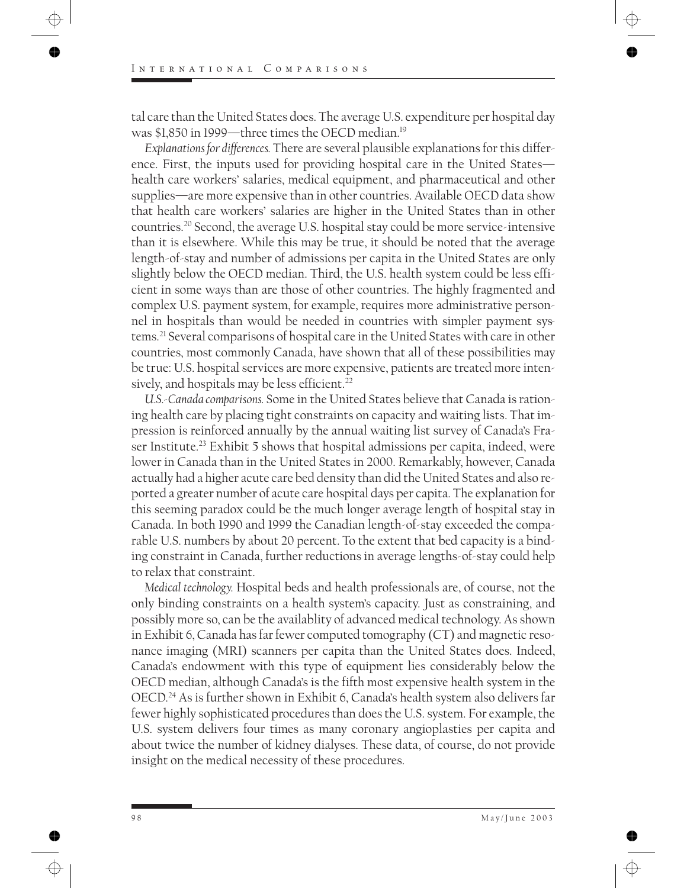tal care than the United States does. The average U.S. expenditure per hospital day was \$1,850 in 1999—three times the OECD median.<sup>19</sup>

*Explanations for differences.* There are several plausible explanations for this difference. First, the inputs used for providing hospital care in the United States health care workers' salaries, medical equipment, and pharmaceutical and other supplies—are more expensive than in other countries. Available OECD data show that health care workers' salaries are higher in the United States than in other countries.20 Second, the average U.S. hospital stay could be more service-intensive than it is elsewhere. While this may be true, it should be noted that the average length-of-stay and number of admissions per capita in the United States are only slightly below the OECD median. Third, the U.S. health system could be less efficient in some ways than are those of other countries. The highly fragmented and complex U.S. payment system, for example, requires more administrative personnel in hospitals than would be needed in countries with simpler payment systems.21 Several comparisons of hospital care in the United States with care in other countries, most commonly Canada, have shown that all of these possibilities may be true: U.S. hospital services are more expensive, patients are treated more intensively, and hospitals may be less efficient.<sup>22</sup>

*U.S.-Canada comparisons.* Some in the United States believe that Canada is rationing health care by placing tight constraints on capacity and waiting lists. That impression is reinforced annually by the annual waiting list survey of Canada's Fraser Institute.<sup>23</sup> Exhibit 5 shows that hospital admissions per capita, indeed, were lower in Canada than in the United States in 2000. Remarkably, however, Canada actually had a higher acute care bed density than did the United States and also reported a greater number of acute care hospital days per capita. The explanation for this seeming paradox could be the much longer average length of hospital stay in Canada. In both 1990 and 1999 the Canadian length-of-stay exceeded the comparable U.S. numbers by about 20 percent. To the extent that bed capacity is a binding constraint in Canada, further reductions in average lengths-of-stay could help to relax that constraint.

*Medical technology.* Hospital beds and health professionals are, of course, not the only binding constraints on a health system's capacity. Just as constraining, and possibly more so, can be the availablity of advanced medical technology. As shown in Exhibit 6, Canada has far fewer computed tomography (CT) and magnetic resonance imaging (MRI) scanners per capita than the United States does. Indeed, Canada's endowment with this type of equipment lies considerably below the OECD median, although Canada's is the fifth most expensive health system in the OECD.24 As is further shown in Exhibit 6, Canada's health system also delivers far fewer highly sophisticated procedures than does the U.S. system. For example, the U.S. system delivers four times as many coronary angioplasties per capita and about twice the number of kidney dialyses. These data, of course, do not provide insight on the medical necessity of these procedures.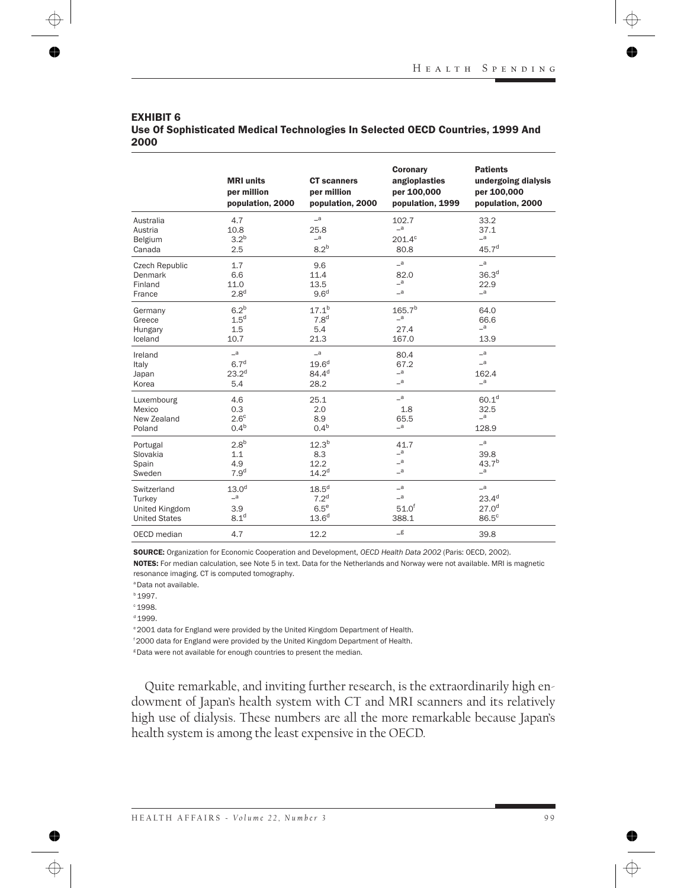## **EXHIBIT 6** Use Of Sophisticated Medical Technologies In Selected OECD Countries, 1999 And 2000

|                       | <b>MRI units</b><br>per million<br>population, 2000 | <b>CT</b> scanners<br>per million<br>population, 2000 | <b>Coronary</b><br>angioplasties<br>per 100,000<br>population, 1999 | <b>Patients</b><br>undergoing dialysis<br>per 100,000<br>population, 2000 |
|-----------------------|-----------------------------------------------------|-------------------------------------------------------|---------------------------------------------------------------------|---------------------------------------------------------------------------|
| Australia             | 4.7                                                 | $\sqsupseteq a$                                       | 102.7                                                               | 33.2                                                                      |
| Austria               | 10.8                                                | 25.8                                                  | $\equiv$ a                                                          | 37.1                                                                      |
| Belgium               | 3.2 <sup>b</sup>                                    | $\sqsupseteq a$                                       | 201.4 <sup>c</sup>                                                  | $\overline{\phantom{a}}$                                                  |
| Canada                | 2.5                                                 | 8.2 <sup>b</sup>                                      | 80.8                                                                | 45.7 <sup>d</sup>                                                         |
| <b>Czech Republic</b> | 1.7                                                 | 9.6                                                   | $\mathsf{a}$                                                        | $\mathsf{a}$                                                              |
| Denmark               | 6.6                                                 | 11.4                                                  | 82.0                                                                | 36.3 <sup>d</sup>                                                         |
| Finland               | 11.0                                                | 13.5                                                  | $\equiv$ a                                                          | 22.9                                                                      |
| France                | 2.8 <sup>d</sup>                                    | 9.6 <sup>d</sup>                                      | $\equiv$ a                                                          | $\overline{\phantom{a}}$                                                  |
| Germany               | $6.2^{b}$                                           | $17.1^{b}$                                            | 165.7 <sup>b</sup>                                                  | 64.0                                                                      |
| Greece                | 1.5 <sup>d</sup>                                    | 7.8 <sup>d</sup>                                      | $\equiv$ a                                                          | 66.6                                                                      |
| Hungary               | 1.5                                                 | 5.4                                                   | 27.4                                                                | $\overline{\phantom{a}}$                                                  |
| Iceland               | 10.7                                                | 21.3                                                  | 167.0                                                               | 13.9                                                                      |
| Ireland               | $\overline{\phantom{a}}$                            | $\sqsupseteq a$                                       | 80.4                                                                | $\overline{\phantom{a}}$                                                  |
| Italy                 | 6.7 <sup>d</sup>                                    | 19.6 <sup>d</sup>                                     | 67.2                                                                | $\overline{\phantom{a}}$                                                  |
| Japan                 | $23.2^{d}$                                          | $84.4^{d}$                                            | $\sqsupseteq a$                                                     | 162.4                                                                     |
| Korea                 | 5.4                                                 | 28.2                                                  | $\sqsupseteq a$                                                     | $\overline{\phantom{a}}$                                                  |
| Luxembourg            | 4.6                                                 | 25.1                                                  | $\overline{\phantom{a}}$                                            | 60.1 <sup>d</sup>                                                         |
| Mexico                | 0.3                                                 | 2.0                                                   | 1.8                                                                 | 32.5                                                                      |
| New Zealand           | 2.6 <sup>c</sup>                                    | 8.9                                                   | 65.5                                                                | $a_{-}$                                                                   |
| Poland                | 0.4 <sup>b</sup>                                    | 0.4 <sup>b</sup>                                      | $\equiv$ a                                                          | 128.9                                                                     |
| Portugal              | 2.8 <sup>b</sup>                                    | $12.3^{b}$                                            | 41.7                                                                | $\equiv$ a                                                                |
| Slovakia              | 1.1                                                 | 8.3                                                   | $\equiv$ a                                                          | 39.8                                                                      |
| Spain                 | 4.9                                                 | 12.2                                                  | $\equiv$ a                                                          | 43.7 <sup>b</sup>                                                         |
| Sweden                | 7.9 <sup>d</sup>                                    | $14.2^{d}$                                            | $\equiv$ a                                                          | $\equiv$ a                                                                |
| Switzerland           | $13.0^{d}$                                          | $18.5^{\rm d}$                                        | $\equiv$ a                                                          | $\equiv$ a                                                                |
| Turkey                | $\overline{\phantom{a}}$                            | 7.2 <sup>d</sup>                                      | $\equiv$ a                                                          | $23.4^{d}$                                                                |
| United Kingdom        | 3.9                                                 | $6.5^e$                                               | 51.0 <sup>f</sup>                                                   | 27.0 <sup>d</sup>                                                         |
| <b>United States</b>  | 8.1 <sup>d</sup>                                    | 13.6 <sup>d</sup>                                     | 388.1                                                               | $86.5^{\circ}$                                                            |
| OECD median           | 4.7                                                 | 12.2                                                  | $\overline{-g}$                                                     | 39.8                                                                      |

**SOURCE:** Organization for Economic Cooperation and Development, OECD Health Data 2002 (Paris: OECD, 2002).

NOTES: For median calculation, see Note 5 in text. Data for the Netherlands and Norway were not available. MRI is magnetic resonance imaging. CT is computed tomography.

<sup>a</sup> Data not available.

 $b$  1997.

°1998.

 $d$  1999.

° 2001 data for England were provided by the United Kingdom Department of Health.

<sup>f</sup> 2000 data for England were provided by the United Kingdom Department of Health.

<sup>*8*</sup> Data were not available for enough countries to present the median.

Quite remarkable, and inviting further research, is the extraordinarily high endowment of Japan's health system with CT and MRI scanners and its relatively high use of dialysis. These numbers are all the more remarkable because Japan's health system is among the least expensive in the OECD.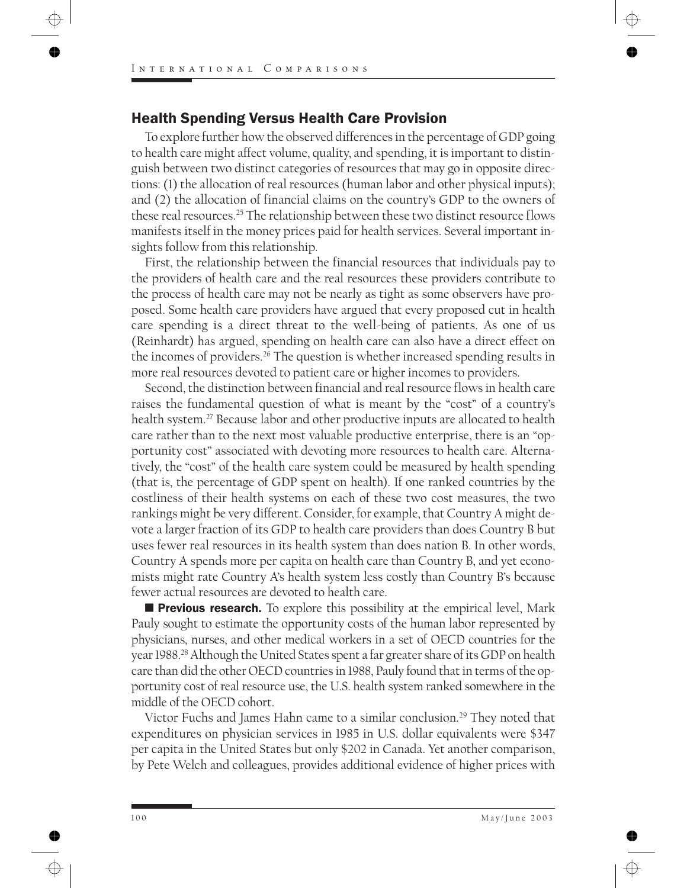# Health Spending Versus Health Care Provision

To explore further how the observed differences in the percentage of GDP going to health care might affect volume, quality, and spending, it is important to distinguish between two distinct categories of resources that may go in opposite directions: (1) the allocation of real resources (human labor and other physical inputs); and (2) the allocation of financial claims on the country's GDP to the owners of these real resources.25 The relationship between these two distinct resource flows manifests itself in the money prices paid for health services. Several important insights follow from this relationship.

First, the relationship between the financial resources that individuals pay to the providers of health care and the real resources these providers contribute to the process of health care may not be nearly as tight as some observers have proposed. Some health care providers have argued that every proposed cut in health care spending is a direct threat to the well-being of patients. As one of us (Reinhardt) has argued, spending on health care can also have a direct effect on the incomes of providers.26 The question is whether increased spending results in more real resources devoted to patient care or higher incomes to providers.

Second, the distinction between financial and real resource flows in health care raises the fundamental question of what is meant by the "cost" of a country's health system.27 Because labor and other productive inputs are allocated to health care rather than to the next most valuable productive enterprise, there is an "opportunity cost" associated with devoting more resources to health care. Alternatively, the "cost" of the health care system could be measured by health spending (that is, the percentage of GDP spent on health). If one ranked countries by the costliness of their health systems on each of these two cost measures, the two rankings might be very different. Consider, for example, that Country A might devote a larger fraction of its GDP to health care providers than does Country B but uses fewer real resources in its health system than does nation B. In other words, Country A spends more per capita on health care than Country B, and yet economists might rate Country A's health system less costly than Country B's because fewer actual resources are devoted to health care.

**Previous research.** To explore this possibility at the empirical level, Mark Pauly sought to estimate the opportunity costs of the human labor represented by physicians, nurses, and other medical workers in a set of OECD countries for the year 1988.28 Although the United States spent a far greater share of its GDP on health care than did the other OECD countries in 1988, Pauly found that in terms of the opportunity cost of real resource use, the U.S. health system ranked somewhere in the middle of the OECD cohort.

Victor Fuchs and James Hahn came to a similar conclusion.<sup>29</sup> They noted that expenditures on physician services in 1985 in U.S. dollar equivalents were \$347 per capita in the United States but only \$202 in Canada. Yet another comparison, by Pete Welch and colleagues, provides additional evidence of higher prices with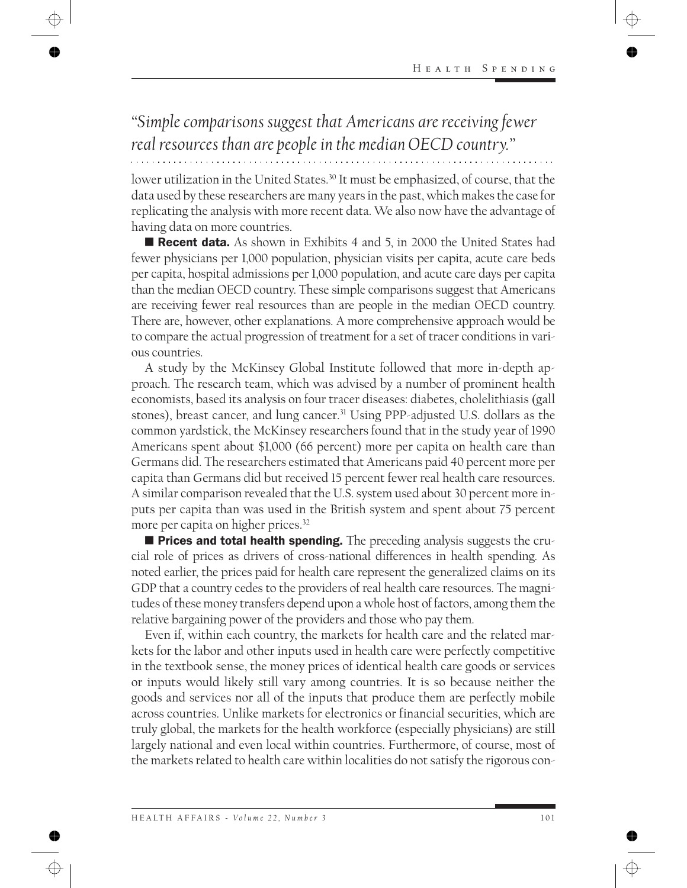*"Simple comparisons suggest that Americans are receiving fewer real resources than are people in the median OECD country."*

lower utilization in the United States.<sup>30</sup> It must be emphasized, of course, that the data used by these researchers are many years in the past, which makes the case for replicating the analysis with more recent data. We also now have the advantage of having data on more countries.

Recent data. As shown in Exhibits 4 and 5, in 2000 the United States had fewer physicians per 1,000 population, physician visits per capita, acute care beds per capita, hospital admissions per 1,000 population, and acute care days per capita than the median OECD country. These simple comparisons suggest that Americans are receiving fewer real resources than are people in the median OECD country. There are, however, other explanations. A more comprehensive approach would be to compare the actual progression of treatment for a set of tracer conditions in various countries.

A study by the McKinsey Global Institute followed that more in-depth approach. The research team, which was advised by a number of prominent health economists, based its analysis on four tracer diseases: diabetes, cholelithiasis (gall stones), breast cancer, and lung cancer.<sup>31</sup> Using PPP-adjusted U.S. dollars as the common yardstick, the McKinsey researchers found that in the study year of 1990 Americans spent about \$1,000 (66 percent) more per capita on health care than Germans did. The researchers estimated that Americans paid 40 percent more per capita than Germans did but received 15 percent fewer real health care resources. A similar comparison revealed that the U.S. system used about 30 percent more inputs per capita than was used in the British system and spent about 75 percent more per capita on higher prices.<sup>32</sup>

**Prices and total health spending.** The preceding analysis suggests the crucial role of prices as drivers of cross-national differences in health spending. As noted earlier, the prices paid for health care represent the generalized claims on its GDP that a country cedes to the providers of real health care resources. The magnitudes of these money transfers depend upon a whole host of factors, among them the relative bargaining power of the providers and those who pay them.

Even if, within each country, the markets for health care and the related markets for the labor and other inputs used in health care were perfectly competitive in the textbook sense, the money prices of identical health care goods or services or inputs would likely still vary among countries. It is so because neither the goods and services nor all of the inputs that produce them are perfectly mobile across countries. Unlike markets for electronics or financial securities, which are truly global, the markets for the health workforce (especially physicians) are still largely national and even local within countries. Furthermore, of course, most of the markets related to health care within localities do not satisfy the rigorous con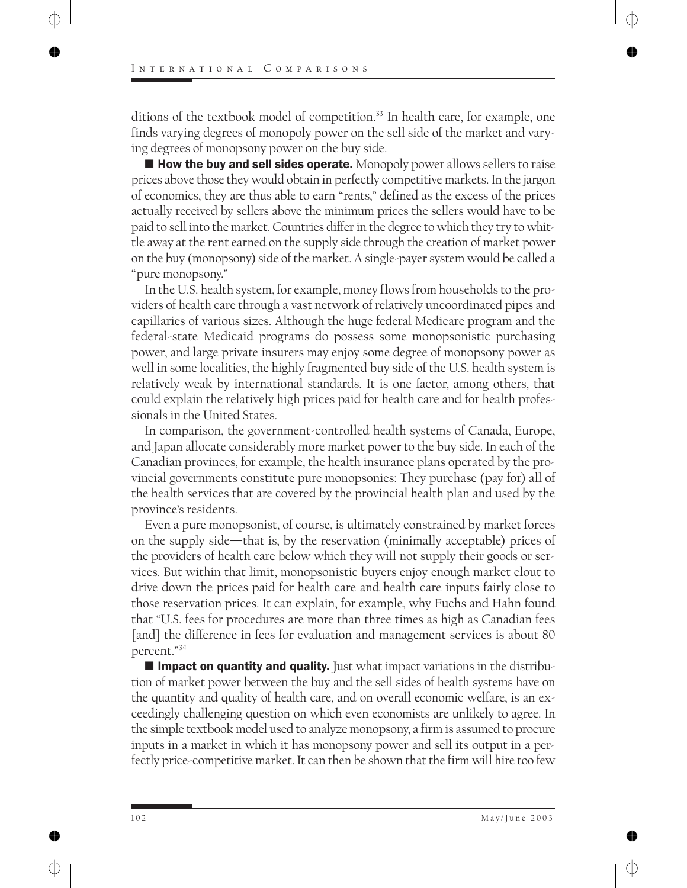ditions of the textbook model of competition.<sup>33</sup> In health care, for example, one finds varying degrees of monopoly power on the sell side of the market and varying degrees of monopsony power on the buy side.

 $\blacksquare$  How the buy and sell sides operate. Monopoly power allows sellers to raise prices above those they would obtain in perfectly competitive markets. In the jargon of economics, they are thus able to earn "rents," defined as the excess of the prices actually received by sellers above the minimum prices the sellers would have to be paid to sell into the market. Countries differ in the degree to which they try to whittle away at the rent earned on the supply side through the creation of market power on the buy (monopsony) side of the market. A single-payer system would be called a "pure monopsony."

In the U.S. health system, for example, money flows from households to the providers of health care through a vast network of relatively uncoordinated pipes and capillaries of various sizes. Although the huge federal Medicare program and the federal-state Medicaid programs do possess some monopsonistic purchasing power, and large private insurers may enjoy some degree of monopsony power as well in some localities, the highly fragmented buy side of the U.S. health system is relatively weak by international standards. It is one factor, among others, that could explain the relatively high prices paid for health care and for health professionals in the United States.

In comparison, the government-controlled health systems of Canada, Europe, and Japan allocate considerably more market power to the buy side. In each of the Canadian provinces, for example, the health insurance plans operated by the provincial governments constitute pure monopsonies: They purchase (pay for) all of the health services that are covered by the provincial health plan and used by the province's residents.

Even a pure monopsonist, of course, is ultimately constrained by market forces on the supply side—that is, by the reservation (minimally acceptable) prices of the providers of health care below which they will not supply their goods or services. But within that limit, monopsonistic buyers enjoy enough market clout to drive down the prices paid for health care and health care inputs fairly close to those reservation prices. It can explain, for example, why Fuchs and Hahn found that "U.S. fees for procedures are more than three times as high as Canadian fees [and] the difference in fees for evaluation and management services is about 80 percent."34

**Impact on quantity and quality.** Just what impact variations in the distribution of market power between the buy and the sell sides of health systems have on the quantity and quality of health care, and on overall economic welfare, is an exceedingly challenging question on which even economists are unlikely to agree. In the simple textbook model used to analyze monopsony, a firm is assumed to procure inputs in a market in which it has monopsony power and sell its output in a perfectly price-competitive market. It can then be shown that the firm will hire too few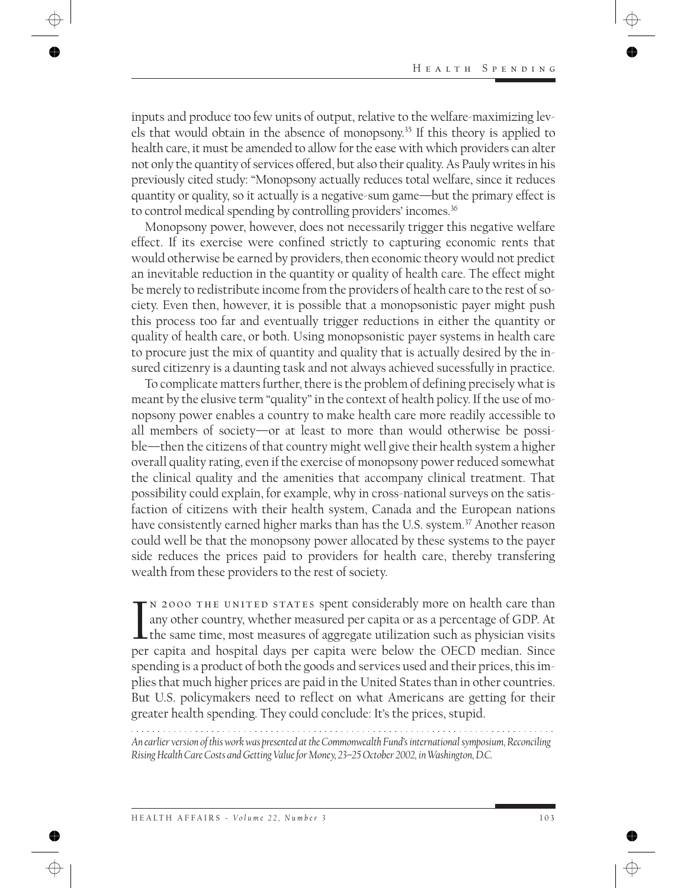inputs and produce too few units of output, relative to the welfare-maximizing levels that would obtain in the absence of monopsony.35 If this theory is applied to health care, it must be amended to allow for the ease with which providers can alter not only the quantity of services offered, but also their quality. As Pauly writes in his previously cited study: "Monopsony actually reduces total welfare, since it reduces quantity or quality, so it actually is a negative-sum game—but the primary effect is to control medical spending by controlling providers' incomes.<sup>36</sup>

Monopsony power, however, does not necessarily trigger this negative welfare effect. If its exercise were confined strictly to capturing economic rents that would otherwise be earned by providers, then economic theory would not predict an inevitable reduction in the quantity or quality of health care. The effect might be merely to redistribute income from the providers of health care to the rest of society. Even then, however, it is possible that a monopsonistic payer might push this process too far and eventually trigger reductions in either the quantity or quality of health care, or both. Using monopsonistic payer systems in health care to procure just the mix of quantity and quality that is actually desired by the insured citizenry is a daunting task and not always achieved sucessfully in practice.

To complicate matters further, there is the problem of defining precisely what is meant by the elusive term "quality" in the context of health policy. If the use of monopsony power enables a country to make health care more readily accessible to all members of society—or at least to more than would otherwise be possible—then the citizens of that country might well give their health system a higher overall quality rating, even if the exercise of monopsony power reduced somewhat the clinical quality and the amenities that accompany clinical treatment. That possibility could explain, for example, why in cross-national surveys on the satisfaction of citizens with their health system, Canada and the European nations have consistently earned higher marks than has the U.S. system.<sup>37</sup> Another reason could well be that the monopsony power allocated by these systems to the payer side reduces the prices paid to providers for health care, thereby transfering wealth from these providers to the rest of society.

IN 2000 THE UNITED STATES spent considerably more on health care than any other country, whether measured per capita or as a percentage of GDP. At the same time, most measures of aggregate utilization such as physician vis n 2000 the united states spent considerably more on health care than any other country, whether measured per capita or as a percentage of GDP. At L the same time, most measures of aggregate utilization such as physician visits spending is a product of both the goods and services used and their prices, this implies that much higher prices are paid in the United States than in other countries. But U.S. policymakers need to reflect on what Americans are getting for their greater health spending. They could conclude: It's the prices, stupid.

*An earlier version of this work was presented at the Commonwealth Fund's international symposium, Reconciling Rising Health Care Costs and Getting Value for Money, 23–25 October 2002, in Washington, D.C.*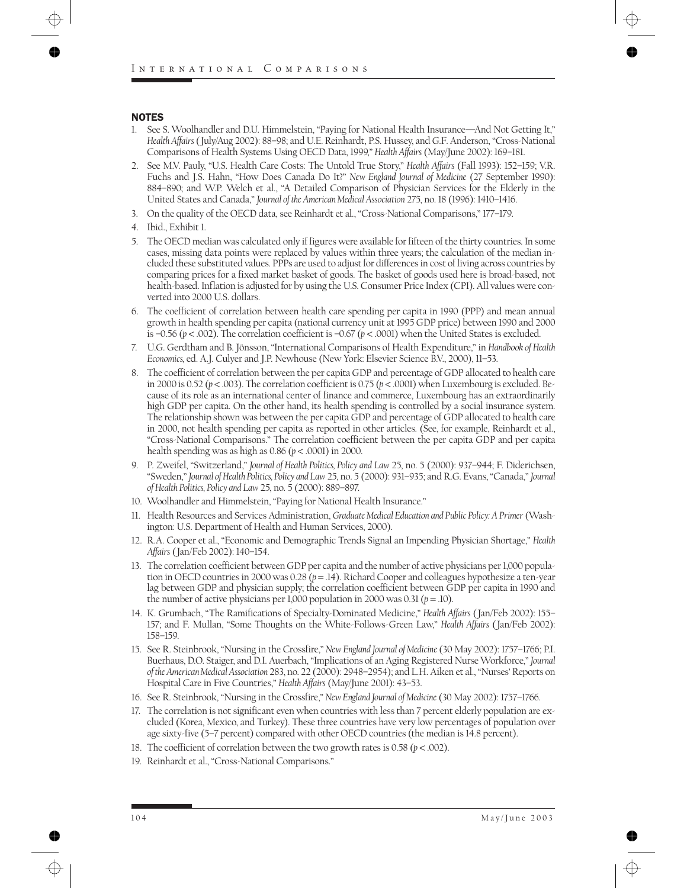## **NOTES**

- 1. See S. Woolhandler and D.U. Himmelstein, "Paying for National Health Insurance—And Not Getting It," *Health Affairs*(July/Aug 2002): 88–98; and U.E. Reinhardt, P.S. Hussey, and G.F. Anderson, "Cross-National Comparisons of Health Systems Using OECD Data, 1999," *Health Affairs* (May/June 2002): 169–181.
- 2. See M.V. Pauly, "U.S. Health Care Costs: The Untold True Story," *Health Affairs* (Fall 1993): 152–159; V.R. Fuchs and J.S. Hahn, "How Does Canada Do It?" *New England Journal of Medicine* (27 September 1990): 884–890; and W.P. Welch et al., "A Detailed Comparison of Physician Services for the Elderly in the United States and Canada," *Journal of the American Medical Association* 275, no. 18 (1996): 1410–1416.
- 3. On the quality of the OECD data, see Reinhardt et al., "Cross-National Comparisons," 177–179.
- 4. Ibid., Exhibit 1.
- 5. The OECD median was calculated only if figures were available for fifteen of the thirty countries. In some cases, missing data points were replaced by values within three years; the calculation of the median included these substituted values. PPPs are used to adjust for differences in cost of living across countries by comparing prices for a fixed market basket of goods. The basket of goods used here is broad-based, not health-based. Inflation is adjusted for by using the U.S. Consumer Price Index (CPI). All values were converted into 2000 U.S. dollars.
- 6. The coefficient of correlation between health care spending per capita in 1990 (PPP) and mean annual growth in health spending per capita (national currency unit at 1995 GDP price) between 1990 and 2000 is –0.56 (*p* < .002). The correlation coefficient is –0.67 (*p* < .0001) when the United States is excluded.
- 7. U.G. Gerdtham and B. Jönsson, "International Comparisons of Health Expenditure," in *Handbook of Health Economics,* ed. A.J. Culyer and J.P. Newhouse (New York: Elsevier Science B.V., 2000), 11–53.
- 8. The coefficient of correlation between the per capita GDP and percentage of GDP allocated to health care in 2000 is 0.52 (*p* < .003). The correlation coefficient is 0.75 (*p* < .0001) when Luxembourg is excluded. Because of its role as an international center of finance and commerce, Luxembourg has an extraordinarily high GDP per capita. On the other hand, its health spending is controlled by a social insurance system. The relationship shown was between the per capita GDP and percentage of GDP allocated to health care in 2000, not health spending per capita as reported in other articles. (See, for example, Reinhardt et al., "Cross-National Comparisons." The correlation coefficient between the per capita GDP and per capita health spending was as high as 0.86 (*p* < .0001) in 2000.
- 9. P. Zweifel, "Switzerland," *Journal of Health Politics, Policy and Law* 25, no. 5 (2000): 937–944; F. Diderichsen, "Sweden," *Journal of Health Politics, Policy and Law* 25, no. 5 (2000): 931–935; and R.G. Evans, "Canada," *Journal of Health Politics, Policy and Law* 25, no. 5 (2000): 889–897.
- 10. Woolhandler and Himmelstein, "Paying for National Health Insurance."
- 11. Health Resources and Services Administration, *Graduate Medical Education and Public Policy: A Primer*(Washington: U.S. Department of Health and Human Services, 2000).
- 12. R.A. Cooper et al., "Economic and Demographic Trends Signal an Impending Physician Shortage," *Health Affairs* (Jan/Feb 2002): 140–154.
- 13. The correlation coefficient between GDP per capita and the number of active physicians per 1,000 population in OECD countries in 2000 was 0.28 (*p* = .14). Richard Cooper and colleagues hypothesize a ten-year lag between GDP and physician supply; the correlation coefficient between GDP per capita in 1990 and the number of active physicians per  $1,000$  population in 2000 was 0.31 ( $p = .10$ ).
- 14. K. Grumbach, "The Ramifications of Specialty-Dominated Medicine," *Health Affairs* (Jan/Feb 2002): 155– 157; and F. Mullan, "Some Thoughts on the White-Follows-Green Law," *Health Affairs* (Jan/Feb 2002): 158–159.
- 15. See R. Steinbrook, "Nursing in the Crossfire," *New England Journal of Medicine* (30 May 2002): 1757–1766; P.I. Buerhaus, D.O. Staiger, and D.I. Auerbach, "Implications of an Aging Registered Nurse Workforce," *Journal of the American Medical Association* 283, no. 22 (2000): 2948–2954); and L.H. Aiken et al., "Nurses' Reports on Hospital Care in Five Countries," *Health Affairs* (May/June 2001): 43–53.
- 16. See R. Steinbrook, "Nursing in the Crossfire," *New England Journal of Medicine* (30 May 2002): 1757–1766.
- 17. The correlation is not significant even when countries with less than 7 percent elderly population are excluded (Korea, Mexico, and Turkey). These three countries have very low percentages of population over age sixty-five (5–7 percent) compared with other OECD countries (the median is 14.8 percent).
- 18. The coefficient of correlation between the two growth rates is 0.58 (*p* < .002).
- 19. Reinhardt et al., "Cross-National Comparisons."